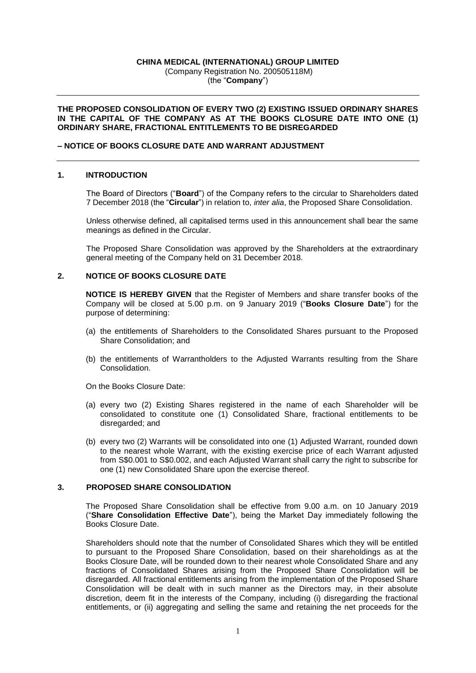## **CHINA MEDICAL (INTERNATIONAL) GROUP LIMITED** (Company Registration No. 200505118M) (the "**Company**")

### **THE PROPOSED CONSOLIDATION OF EVERY TWO (2) EXISTING ISSUED ORDINARY SHARES**  IN THE CAPITAL OF THE COMPANY AS AT THE BOOKS CLOSURE DATE INTO ONE (1) **ORDINARY SHARE, FRACTIONAL ENTITLEMENTS TO BE DISREGARDED**

### **– NOTICE OF BOOKS CLOSURE DATE AND WARRANT ADJUSTMENT**

### **1. INTRODUCTION**

The Board of Directors ("**Board**") of the Company refers to the circular to Shareholders dated 7 December 2018 (the "**Circular**") in relation to, *inter alia*, the Proposed Share Consolidation.

Unless otherwise defined, all capitalised terms used in this announcement shall bear the same meanings as defined in the Circular.

The Proposed Share Consolidation was approved by the Shareholders at the extraordinary general meeting of the Company held on 31 December 2018.

#### **2. NOTICE OF BOOKS CLOSURE DATE**

**NOTICE IS HEREBY GIVEN** that the Register of Members and share transfer books of the Company will be closed at 5.00 p.m. on 9 January 2019 ("**Books Closure Date**") for the purpose of determining:

- (a) the entitlements of Shareholders to the Consolidated Shares pursuant to the Proposed Share Consolidation; and
- (b) the entitlements of Warrantholders to the Adjusted Warrants resulting from the Share Consolidation.
- On the Books Closure Date:
- (a) every two (2) Existing Shares registered in the name of each Shareholder will be consolidated to constitute one (1) Consolidated Share, fractional entitlements to be disregarded; and
- (b) every two (2) Warrants will be consolidated into one (1) Adjusted Warrant, rounded down to the nearest whole Warrant, with the existing exercise price of each Warrant adjusted from S\$0.001 to S\$0.002, and each Adjusted Warrant shall carry the right to subscribe for one (1) new Consolidated Share upon the exercise thereof.

### **3. PROPOSED SHARE CONSOLIDATION**

The Proposed Share Consolidation shall be effective from 9.00 a.m. on 10 January 2019 ("**Share Consolidation Effective Date**"), being the Market Day immediately following the Books Closure Date.

Shareholders should note that the number of Consolidated Shares which they will be entitled to pursuant to the Proposed Share Consolidation, based on their shareholdings as at the Books Closure Date, will be rounded down to their nearest whole Consolidated Share and any fractions of Consolidated Shares arising from the Proposed Share Consolidation will be disregarded. All fractional entitlements arising from the implementation of the Proposed Share Consolidation will be dealt with in such manner as the Directors may, in their absolute discretion, deem fit in the interests of the Company, including (i) disregarding the fractional entitlements, or (ii) aggregating and selling the same and retaining the net proceeds for the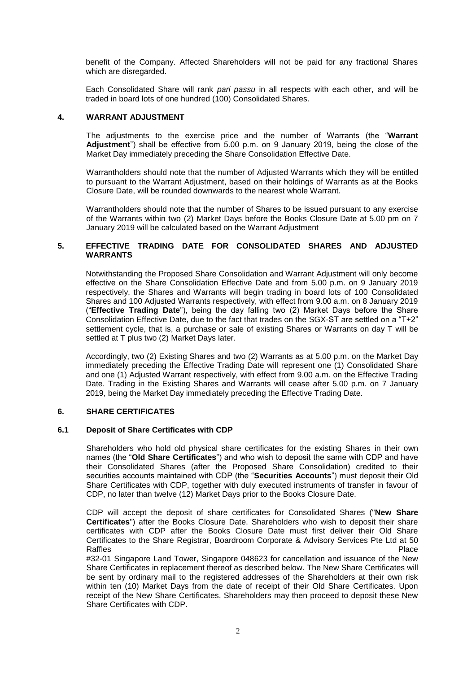benefit of the Company. Affected Shareholders will not be paid for any fractional Shares which are disregarded.

Each Consolidated Share will rank *pari passu* in all respects with each other, and will be traded in board lots of one hundred (100) Consolidated Shares.

### **4. WARRANT ADJUSTMENT**

The adjustments to the exercise price and the number of Warrants (the "**Warrant Adjustment**") shall be effective from 5.00 p.m. on 9 January 2019, being the close of the Market Day immediately preceding the Share Consolidation Effective Date.

Warrantholders should note that the number of Adjusted Warrants which they will be entitled to pursuant to the Warrant Adjustment, based on their holdings of Warrants as at the Books Closure Date, will be rounded downwards to the nearest whole Warrant.

Warrantholders should note that the number of Shares to be issued pursuant to any exercise of the Warrants within two (2) Market Days before the Books Closure Date at 5.00 pm on 7 January 2019 will be calculated based on the Warrant Adjustment

## **5. EFFECTIVE TRADING DATE FOR CONSOLIDATED SHARES AND ADJUSTED WARRANTS**

Notwithstanding the Proposed Share Consolidation and Warrant Adjustment will only become effective on the Share Consolidation Effective Date and from 5.00 p.m. on 9 January 2019 respectively, the Shares and Warrants will begin trading in board lots of 100 Consolidated Shares and 100 Adjusted Warrants respectively, with effect from 9.00 a.m. on 8 January 2019 ("**Effective Trading Date**"), being the day falling two (2) Market Days before the Share Consolidation Effective Date, due to the fact that trades on the SGX-ST are settled on a "T+2" settlement cycle, that is, a purchase or sale of existing Shares or Warrants on day T will be settled at T plus two (2) Market Days later.

Accordingly, two (2) Existing Shares and two (2) Warrants as at 5.00 p.m. on the Market Day immediately preceding the Effective Trading Date will represent one (1) Consolidated Share and one (1) Adjusted Warrant respectively, with effect from 9.00 a.m. on the Effective Trading Date. Trading in the Existing Shares and Warrants will cease after 5.00 p.m. on 7 January 2019, being the Market Day immediately preceding the Effective Trading Date.

#### **6. SHARE CERTIFICATES**

#### **6.1 Deposit of Share Certificates with CDP**

Shareholders who hold old physical share certificates for the existing Shares in their own names (the "**Old Share Certificates**") and who wish to deposit the same with CDP and have their Consolidated Shares (after the Proposed Share Consolidation) credited to their securities accounts maintained with CDP (the "**Securities Accounts**") must deposit their Old Share Certificates with CDP, together with duly executed instruments of transfer in favour of CDP, no later than twelve (12) Market Days prior to the Books Closure Date.

CDP will accept the deposit of share certificates for Consolidated Shares ("**New Share Certificates**") after the Books Closure Date. Shareholders who wish to deposit their share certificates with CDP after the Books Closure Date must first deliver their Old Share Certificates to the Share Registrar, Boardroom Corporate & Advisory Services Pte Ltd at 50 Raffles **Place Reserves and Secretary American** Place Reserves and Secretary American Place

#32-01 Singapore Land Tower, Singapore 048623 for cancellation and issuance of the New Share Certificates in replacement thereof as described below. The New Share Certificates will be sent by ordinary mail to the registered addresses of the Shareholders at their own risk within ten (10) Market Days from the date of receipt of their Old Share Certificates. Upon receipt of the New Share Certificates, Shareholders may then proceed to deposit these New Share Certificates with CDP.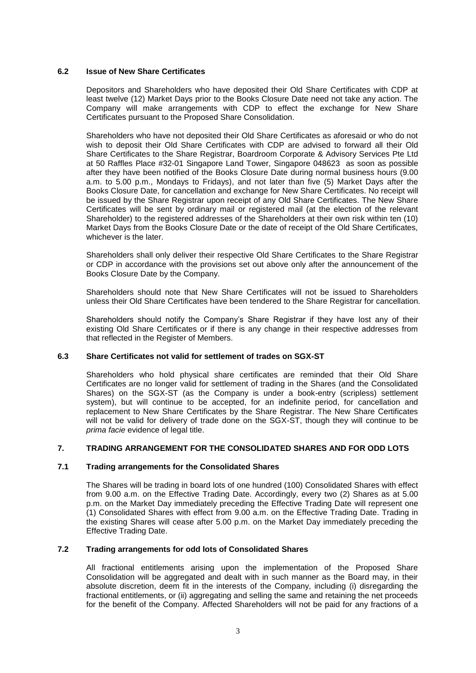## **6.2 Issue of New Share Certificates**

Depositors and Shareholders who have deposited their Old Share Certificates with CDP at least twelve (12) Market Days prior to the Books Closure Date need not take any action. The Company will make arrangements with CDP to effect the exchange for New Share Certificates pursuant to the Proposed Share Consolidation.

Shareholders who have not deposited their Old Share Certificates as aforesaid or who do not wish to deposit their Old Share Certificates with CDP are advised to forward all their Old Share Certificates to the Share Registrar, Boardroom Corporate & Advisory Services Pte Ltd at 50 Raffles Place #32-01 Singapore Land Tower, Singapore 048623 as soon as possible after they have been notified of the Books Closure Date during normal business hours (9.00 a.m. to 5.00 p.m., Mondays to Fridays), and not later than five (5) Market Days after the Books Closure Date, for cancellation and exchange for New Share Certificates. No receipt will be issued by the Share Registrar upon receipt of any Old Share Certificates. The New Share Certificates will be sent by ordinary mail or registered mail (at the election of the relevant Shareholder) to the registered addresses of the Shareholders at their own risk within ten (10) Market Days from the Books Closure Date or the date of receipt of the Old Share Certificates, whichever is the later.

Shareholders shall only deliver their respective Old Share Certificates to the Share Registrar or CDP in accordance with the provisions set out above only after the announcement of the Books Closure Date by the Company.

Shareholders should note that New Share Certificates will not be issued to Shareholders unless their Old Share Certificates have been tendered to the Share Registrar for cancellation.

Shareholders should notify the Company's Share Registrar if they have lost any of their existing Old Share Certificates or if there is any change in their respective addresses from that reflected in the Register of Members.

## **6.3 Share Certificates not valid for settlement of trades on SGX-ST**

Shareholders who hold physical share certificates are reminded that their Old Share Certificates are no longer valid for settlement of trading in the Shares (and the Consolidated Shares) on the SGX-ST (as the Company is under a book-entry (scripless) settlement system), but will continue to be accepted, for an indefinite period, for cancellation and replacement to New Share Certificates by the Share Registrar. The New Share Certificates will not be valid for delivery of trade done on the SGX-ST, though they will continue to be *prima facie* evidence of legal title.

## **7. TRADING ARRANGEMENT FOR THE CONSOLIDATED SHARES AND FOR ODD LOTS**

### **7.1 Trading arrangements for the Consolidated Shares**

The Shares will be trading in board lots of one hundred (100) Consolidated Shares with effect from 9.00 a.m. on the Effective Trading Date. Accordingly, every two (2) Shares as at 5.00 p.m. on the Market Day immediately preceding the Effective Trading Date will represent one (1) Consolidated Shares with effect from 9.00 a.m. on the Effective Trading Date. Trading in the existing Shares will cease after 5.00 p.m. on the Market Day immediately preceding the Effective Trading Date.

### **7.2 Trading arrangements for odd lots of Consolidated Shares**

All fractional entitlements arising upon the implementation of the Proposed Share Consolidation will be aggregated and dealt with in such manner as the Board may, in their absolute discretion, deem fit in the interests of the Company, including (i) disregarding the fractional entitlements, or (ii) aggregating and selling the same and retaining the net proceeds for the benefit of the Company. Affected Shareholders will not be paid for any fractions of a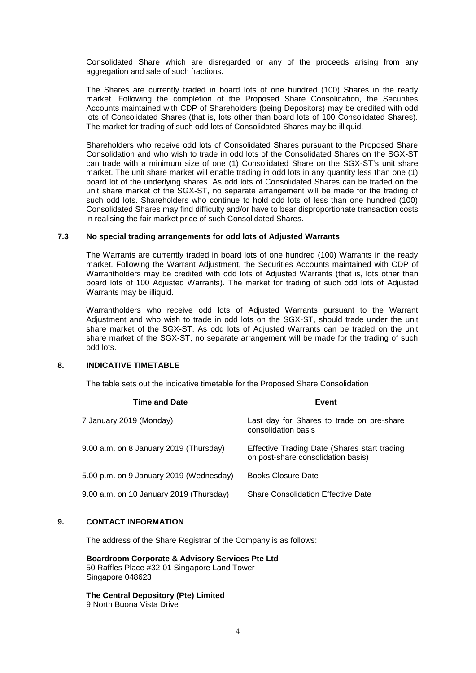Consolidated Share which are disregarded or any of the proceeds arising from any aggregation and sale of such fractions.

The Shares are currently traded in board lots of one hundred (100) Shares in the ready market. Following the completion of the Proposed Share Consolidation, the Securities Accounts maintained with CDP of Shareholders (being Depositors) may be credited with odd lots of Consolidated Shares (that is, lots other than board lots of 100 Consolidated Shares). The market for trading of such odd lots of Consolidated Shares may be illiquid.

Shareholders who receive odd lots of Consolidated Shares pursuant to the Proposed Share Consolidation and who wish to trade in odd lots of the Consolidated Shares on the SGX-ST can trade with a minimum size of one (1) Consolidated Share on the SGX-ST's unit share market. The unit share market will enable trading in odd lots in any quantity less than one (1) board lot of the underlying shares. As odd lots of Consolidated Shares can be traded on the unit share market of the SGX-ST, no separate arrangement will be made for the trading of such odd lots. Shareholders who continue to hold odd lots of less than one hundred (100) Consolidated Shares may find difficulty and/or have to bear disproportionate transaction costs in realising the fair market price of such Consolidated Shares.

### **7.3 No special trading arrangements for odd lots of Adjusted Warrants**

The Warrants are currently traded in board lots of one hundred (100) Warrants in the ready market. Following the Warrant Adjustment, the Securities Accounts maintained with CDP of Warrantholders may be credited with odd lots of Adjusted Warrants (that is, lots other than board lots of 100 Adjusted Warrants). The market for trading of such odd lots of Adjusted Warrants may be illiquid.

Warrantholders who receive odd lots of Adjusted Warrants pursuant to the Warrant Adjustment and who wish to trade in odd lots on the SGX-ST, should trade under the unit share market of the SGX-ST. As odd lots of Adjusted Warrants can be traded on the unit share market of the SGX-ST, no separate arrangement will be made for the trading of such odd lots.

# **8. INDICATIVE TIMETABLE**

The table sets out the indicative timetable for the Proposed Share Consolidation

| <b>Time and Date</b>                    | Event                                                                              |
|-----------------------------------------|------------------------------------------------------------------------------------|
| 7 January 2019 (Monday)                 | Last day for Shares to trade on pre-share<br>consolidation basis                   |
| 9.00 a.m. on 8 January 2019 (Thursday)  | Effective Trading Date (Shares start trading<br>on post-share consolidation basis) |
| 5.00 p.m. on 9 January 2019 (Wednesday) | <b>Books Closure Date</b>                                                          |
| 9.00 a.m. on 10 January 2019 (Thursday) | <b>Share Consolidation Effective Date</b>                                          |

### **9. CONTACT INFORMATION**

The address of the Share Registrar of the Company is as follows:

**Boardroom Corporate & Advisory Services Pte Ltd** 50 Raffles Place #32-01 Singapore Land Tower Singapore 048623

**The Central Depository (Pte) Limited**  9 North Buona Vista Drive